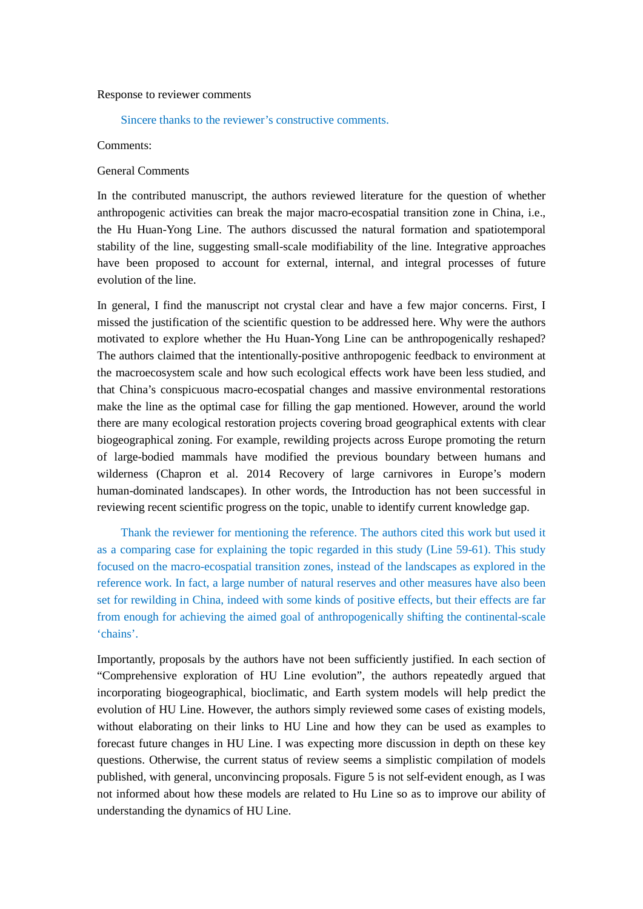### Response to reviewer comments

#### Sincere thanks to the reviewer's constructive comments.

#### Comments:

## General Comments

In the contributed manuscript, the authors reviewed literature for the question of whether anthropogenic activities can break the major macro-ecospatial transition zone in China, i.e., the Hu Huan-Yong Line. The authors discussed the natural formation and spatiotemporal stability of the line, suggesting small-scale modifiability of the line. Integrative approaches have been proposed to account for external, internal, and integral processes of future evolution of the line.

In general, I find the manuscript not crystal clear and have a few major concerns. First, I missed the justification of the scientific question to be addressed here. Why were the authors motivated to explore whether the Hu Huan-Yong Line can be anthropogenically reshaped? The authors claimed that the intentionally-positive anthropogenic feedback to environment at the macroecosystem scale and how such ecological effects work have been less studied, and that China's conspicuous macro-ecospatial changes and massive environmental restorations make the line as the optimal case for filling the gap mentioned. However, around the world there are many ecological restoration projects covering broad geographical extents with clear biogeographical zoning. For example, rewilding projects across Europe promoting the return of large-bodied mammals have modified the previous boundary between humans and wilderness (Chapron et al. 2014 Recovery of large carnivores in Europe's modern human-dominated landscapes). In other words, the Introduction has not been successful in reviewing recent scientific progress on the topic, unable to identify current knowledge gap.

 Thank the reviewer for mentioning the reference. The authors cited this work but used it as a comparing case for explaining the topic regarded in this study (Line 59-61). This study focused on the macro-ecospatial transition zones, instead of the landscapes as explored in the reference work. In fact, a large number of natural reserves and other measures have also been set for rewilding in China, indeed with some kinds of positive effects, but their effects are far from enough for achieving the aimed goal of anthropogenically shifting the continental-scale 'chains'.

Importantly, proposals by the authors have not been sufficiently justified. In each section of "Comprehensive exploration of HU Line evolution", the authors repeatedly argued that incorporating biogeographical, bioclimatic, and Earth system models will help predict the evolution of HU Line. However, the authors simply reviewed some cases of existing models, without elaborating on their links to HU Line and how they can be used as examples to forecast future changes in HU Line. I was expecting more discussion in depth on these key questions. Otherwise, the current status of review seems a simplistic compilation of models published, with general, unconvincing proposals. Figure 5 is not self-evident enough, as I was not informed about how these models are related to Hu Line so as to improve our ability of understanding the dynamics of HU Line.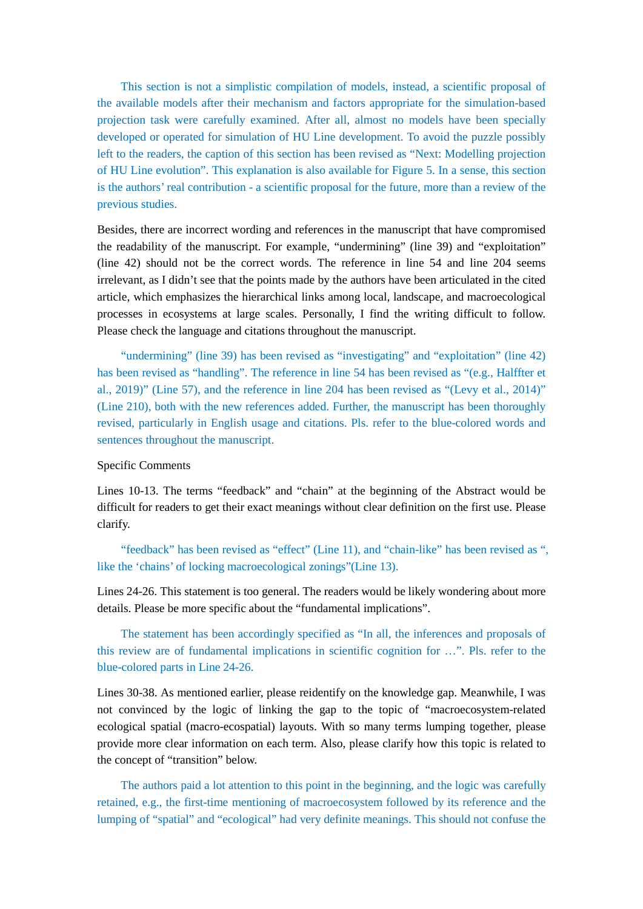This section is not a simplistic compilation of models, instead, a scientific proposal of the available models after their mechanism and factors appropriate for the simulation-based projection task were carefully examined. After all, almost no models have been specially developed or operated for simulation of HU Line development. To avoid the puzzle possibly left to the readers, the caption of this section has been revised as "Next: Modelling projection of HU Line evolution". This explanation is also available for Figure 5. In a sense, this section is the authors' real contribution - a scientific proposal for the future, more than a review of the previous studies.

Besides, there are incorrect wording and references in the manuscript that have compromised the readability of the manuscript. For example, "undermining" (line 39) and "exploitation" (line 42) should not be the correct words. The reference in line 54 and line 204 seems irrelevant, as I didn't see that the points made by the authors have been articulated in the cited article, which emphasizes the hierarchical links among local, landscape, and macroecological processes in ecosystems at large scales. Personally, I find the writing difficult to follow. Please check the language and citations throughout the manuscript.

 "undermining" (line 39) has been revised as "investigating" and "exploitation" (line 42) has been revised as "handling". The reference in line 54 has been revised as "(e.g., Halffter et al., 2019)" (Line 57), and the reference in line 204 has been revised as "(Levy et al., 2014)" (Line 210), both with the new references added. Further, the manuscript has been thoroughly revised, particularly in English usage and citations. Pls. refer to the blue-colored words and sentences throughout the manuscript.

### Specific Comments

Lines 10-13. The terms "feedback" and "chain" at the beginning of the Abstract would be difficult for readers to get their exact meanings without clear definition on the first use. Please clarify.

"feedback" has been revised as "effect" (Line 11), and "chain-like" has been revised as ", like the 'chains' of locking macroecological zonings"(Line 13).

Lines 24-26. This statement is too general. The readers would be likely wondering about more details. Please be more specific about the "fundamental implications".

 The statement has been accordingly specified as "In all, the inferences and proposals of this review are of fundamental implications in scientific cognition for …". Pls. refer to the blue-colored parts in Line 24-26.

Lines 30-38. As mentioned earlier, please reidentify on the knowledge gap. Meanwhile, I was not convinced by the logic of linking the gap to the topic of "macroecosystem-related ecological spatial (macro-ecospatial) layouts. With so many terms lumping together, please provide more clear information on each term. Also, please clarify how this topic is related to the concept of "transition" below.

 The authors paid a lot attention to this point in the beginning, and the logic was carefully retained, e.g., the first-time mentioning of macroecosystem followed by its reference and the lumping of "spatial" and "ecological" had very definite meanings. This should not confuse the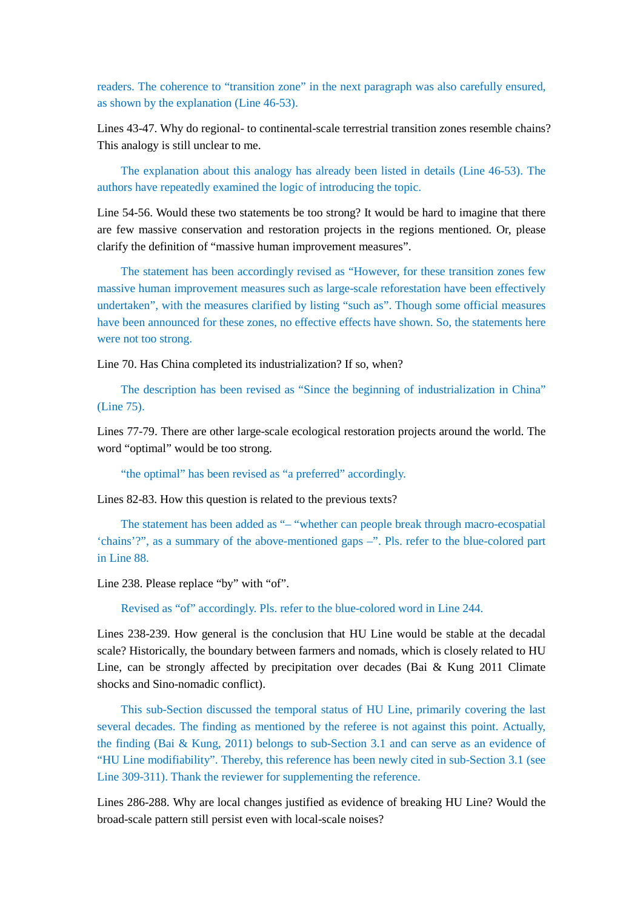readers. The coherence to "transition zone" in the next paragraph was also carefully ensured, as shown by the explanation (Line 46-53).

Lines 43-47. Why do regional- to continental-scale terrestrial transition zones resemble chains? This analogy is still unclear to me.

 The explanation about this analogy has already been listed in details (Line 46-53). The authors have repeatedly examined the logic of introducing the topic.

Line 54-56. Would these two statements be too strong? It would be hard to imagine that there are few massive conservation and restoration projects in the regions mentioned. Or, please clarify the definition of "massive human improvement measures".

 The statement has been accordingly revised as "However, for these transition zones few massive human improvement measures such as large-scale reforestation have been effectively undertaken", with the measures clarified by listing "such as". Though some official measures have been announced for these zones, no effective effects have shown. So, the statements here were not too strong.

Line 70. Has China completed its industrialization? If so, when?

 The description has been revised as "Since the beginning of industrialization in China" (Line 75).

Lines 77-79. There are other large-scale ecological restoration projects around the world. The word "optimal" would be too strong.

"the optimal" has been revised as "a preferred" accordingly.

Lines 82-83. How this question is related to the previous texts?

 The statement has been added as "– "whether can people break through macro-ecospatial 'chains'?", as a summary of the above-mentioned gaps –". Pls. refer to the blue-colored part in Line 88.

Line 238. Please replace "by" with "of".

Revised as "of" accordingly. Pls. refer to the blue-colored word in Line 244.

Lines 238-239. How general is the conclusion that HU Line would be stable at the decadal scale? Historically, the boundary between farmers and nomads, which is closely related to HU Line, can be strongly affected by precipitation over decades (Bai & Kung 2011 Climate shocks and Sino-nomadic conflict).

 This sub-Section discussed the temporal status of HU Line, primarily covering the last several decades. The finding as mentioned by the referee is not against this point. Actually, the finding (Bai & Kung, 2011) belongs to sub-Section 3.1 and can serve as an evidence of "HU Line modifiability". Thereby, this reference has been newly cited in sub-Section 3.1 (see Line 309-311). Thank the reviewer for supplementing the reference.

Lines 286-288. Why are local changes justified as evidence of breaking HU Line? Would the broad-scale pattern still persist even with local-scale noises?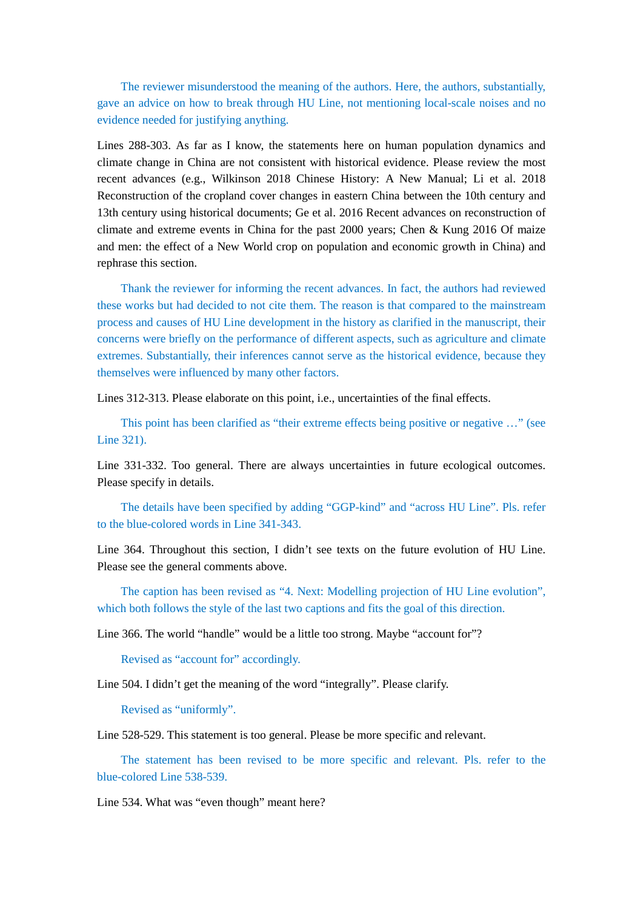The reviewer misunderstood the meaning of the authors. Here, the authors, substantially, gave an advice on how to break through HU Line, not mentioning local-scale noises and no evidence needed for justifying anything.

Lines 288-303. As far as I know, the statements here on human population dynamics and climate change in China are not consistent with historical evidence. Please review the most recent advances (e.g., Wilkinson 2018 Chinese History: A New Manual; Li et al. 2018 Reconstruction of the cropland cover changes in eastern China between the 10th century and 13th century using historical documents; Ge et al. 2016 Recent advances on reconstruction of climate and extreme events in China for the past 2000 years; Chen & Kung 2016 Of maize and men: the effect of a New World crop on population and economic growth in China) and rephrase this section.

 Thank the reviewer for informing the recent advances. In fact, the authors had reviewed these works but had decided to not cite them. The reason is that compared to the mainstream process and causes of HU Line development in the history as clarified in the manuscript, their concerns were briefly on the performance of different aspects, such as agriculture and climate extremes. Substantially, their inferences cannot serve as the historical evidence, because they themselves were influenced by many other factors.

Lines 312-313. Please elaborate on this point, i.e., uncertainties of the final effects.

This point has been clarified as "their extreme effects being positive or negative ..." (see Line 321).

Line 331-332. Too general. There are always uncertainties in future ecological outcomes. Please specify in details.

 The details have been specified by adding "GGP-kind" and "across HU Line". Pls. refer to the blue-colored words in Line 341-343.

Line 364. Throughout this section, I didn't see texts on the future evolution of HU Line. Please see the general comments above.

 The caption has been revised as "4. Next: Modelling projection of HU Line evolution", which both follows the style of the last two captions and fits the goal of this direction.

Line 366. The world "handle" would be a little too strong. Maybe "account for"?

Revised as "account for" accordingly.

Line 504. I didn't get the meaning of the word "integrally". Please clarify.

Revised as "uniformly".

Line 528-529. This statement is too general. Please be more specific and relevant.

 The statement has been revised to be more specific and relevant. Pls. refer to the blue-colored Line 538-539.

Line 534. What was "even though" meant here?